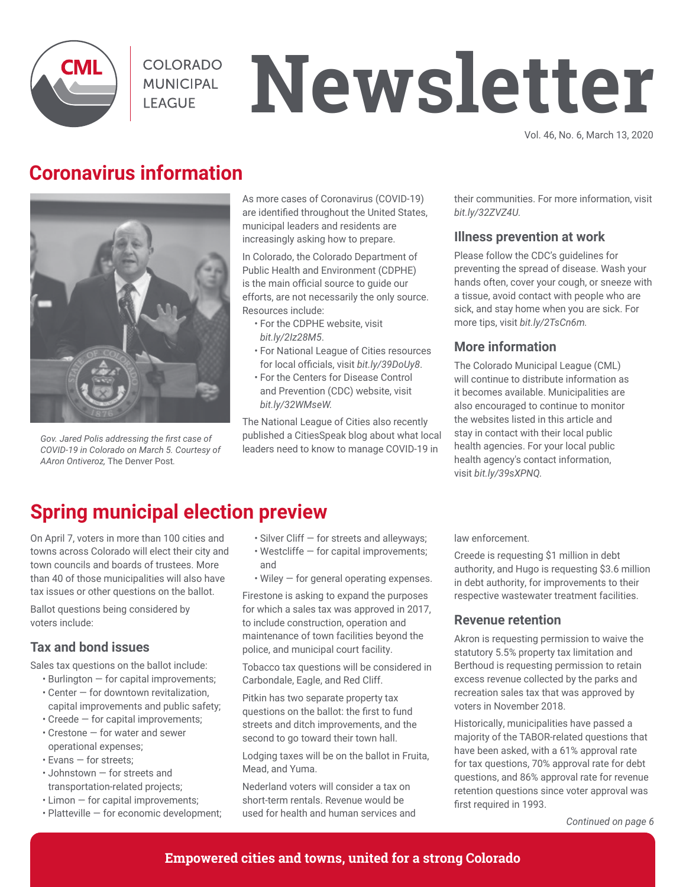

COLORADO **MUNICIPAL LEAGUE** 

# **Newsletter**

Vol. 46, No. 6, March 13, 2020

## **Coronavirus information**



*Gov. Jared Polis addressing the first case of COVID-19 in Colorado on March 5. Courtesy of AAron Ontiveroz,* The Denver Post*.*

As more cases of Coronavirus (COVID-19) are identified throughout the United States, municipal leaders and residents are increasingly asking how to prepare.

In Colorado, the Colorado Department of Public Health and Environment (CDPHE) is the main official source to guide our efforts, are not necessarily the only source. Resources include:

- For the CDPHE website, visit *bit.ly/2Iz28M5*.
- For National League of Cities resources for local officials, visit *bit.ly/39DoUy8*.
- For the Centers for Disease Control and Prevention (CDC) website, visit *bit.ly/32WMseW.*

The National League of Cities also recently published a CitiesSpeak blog about what local leaders need to know to manage COVID-19 in

their communities. For more information, visit *bit.ly/32ZVZ4U.*

#### **Illness prevention at work**

Please follow the CDC's guidelines for preventing the spread of disease. Wash your hands often, cover your cough, or sneeze with a tissue, avoid contact with people who are sick, and stay home when you are sick. For more tips, visit *bit.ly/2TsCn6m.* 

#### **More information**

The Colorado Municipal League (CML) will continue to distribute information as it becomes available. Municipalities are also encouraged to continue to monitor the websites listed in this article and stay in contact with their local public health agencies. For your local public health agency's contact information, visit *bit.ly/39sXPNQ.*

## **Spring municipal election preview**

On April 7, voters in more than 100 cities and towns across Colorado will elect their city and town councils and boards of trustees. More than 40 of those municipalities will also have tax issues or other questions on the ballot.

Ballot questions being considered by voters include:

#### **Tax and bond issues**

Sales tax questions on the ballot include:

- Burlington for capital improvements;
- Center for downtown revitalization, capital improvements and public safety;
- Creede for capital improvements;
- Crestone for water and sewer operational expenses;
- Evans for streets;
- Johnstown for streets and transportation-related projects;
- Limon for capital improvements;
- Platteville for economic development;
- Silver Cliff for streets and alleyways;
- Westcliffe for capital improvements; and
- Wiley for general operating expenses.

Firestone is asking to expand the purposes for which a sales tax was approved in 2017, to include construction, operation and maintenance of town facilities beyond the police, and municipal court facility.

Tobacco tax questions will be considered in Carbondale, Eagle, and Red Cliff.

Pitkin has two separate property tax questions on the ballot: the first to fund streets and ditch improvements, and the second to go toward their town hall.

Lodging taxes will be on the ballot in Fruita, Mead, and Yuma.

Nederland voters will consider a tax on short-term rentals. Revenue would be used for health and human services and law enforcement.

Creede is requesting \$1 million in debt authority, and Hugo is requesting \$3.6 million in debt authority, for improvements to their respective wastewater treatment facilities.

#### **Revenue retention**

Akron is requesting permission to waive the statutory 5.5% property tax limitation and Berthoud is requesting permission to retain excess revenue collected by the parks and recreation sales tax that was approved by voters in November 2018.

Historically, municipalities have passed a majority of the TABOR-related questions that have been asked, with a 61% approval rate for tax questions, 70% approval rate for debt questions, and 86% approval rate for revenue retention questions since voter approval was first required in 1993.

*Continued on page 6*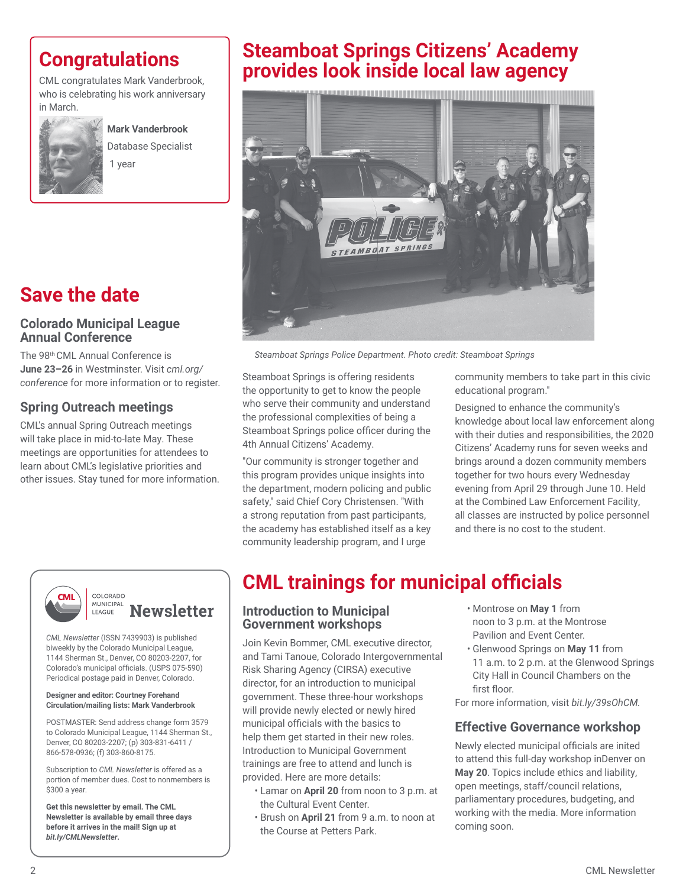## **Congratulations**

CML congratulates Mark Vanderbrook, who is celebrating his work anniversary in March.



**Mark Vanderbrook** Database Specialist 1 year

## **Save the date**

#### **Colorado Municipal League Annual Conference**

The 98th CML Annual Conference is **June 23–26** in Westminster. Visit *cml.org/ conference* for more information or to register.

#### **Spring Outreach meetings**

CML's annual Spring Outreach meetings will take place in mid-to-late May. These meetings are opportunities for attendees to learn about CML's legislative priorities and other issues. Stay tuned for more information.





*Steamboat Springs Police Department. Photo credit: Steamboat Springs*

Steamboat Springs is offering residents the opportunity to get to know the people who serve their community and understand the professional complexities of being a Steamboat Springs police officer during the 4th Annual Citizens' Academy.

"Our community is stronger together and this program provides unique insights into the department, modern policing and public safety," said Chief Cory Christensen. "With a strong reputation from past participants, the academy has established itself as a key community leadership program, and I urge

community members to take part in this civic educational program."

Designed to enhance the community's knowledge about local law enforcement along with their duties and responsibilities, the 2020 Citizens' Academy runs for seven weeks and brings around a dozen community members together for two hours every Wednesday evening from April 29 through June 10. Held at the Combined Law Enforcement Facility, all classes are instructed by police personnel and there is no cost to the student.



#### COLORADO MUNICIPAL **Newsletter** LEAGUE

*CML Newsletter* (ISSN 7439903) is published biweekly by the Colorado Municipal League, 1144 Sherman St., Denver, CO 80203-2207, for Colorado's municipal officials. (USPS 075-590) Periodical postage paid in Denver, Colorado.

#### **Designer and editor: Courtney Forehand Circulation/mailing lists: Mark Vanderbrook**

POSTMASTER: Send address change form 3579 to Colorado Municipal League, 1144 Sherman St., Denver, CO 80203-2207; (p) 303-831-6411 / 866-578-0936; (f) 303-860-8175.

Subscription to *CML Newsletter* is offered as a portion of member dues. Cost to nonmembers is \$300 a year.

**Get this newsletter by email. The CML Newsletter is available by email three days before it arrives in the mail! Sign up at**  *bit.ly/CMLNewsletter***.**

## **CML trainings for municipal officials**

#### **Introduction to Municipal Government workshops**

Join Kevin Bommer, CML executive director, and Tami Tanoue, Colorado Intergovernmental Risk Sharing Agency (CIRSA) executive director, for an introduction to municipal government. These three-hour workshops will provide newly elected or newly hired municipal officials with the basics to help them get started in their new roles. Introduction to Municipal Government trainings are free to attend and lunch is provided. Here are more details:

- Lamar on **April 20** from noon to 3 p.m. at the Cultural Event Center.
- Brush on **April 21** from 9 a.m. to noon at the Course at Petters Park.
- Montrose on **May 1** from noon to 3 p.m. at the Montrose Pavilion and Event Center.
- Glenwood Springs on **May 11** from 11 a.m. to 2 p.m. at the Glenwood Springs City Hall in Council Chambers on the first floor.

For more information, visit *bit.ly/39sOhCM.*

#### **Effective Governance workshop**

Newly elected municipal officials are inited to attend this full-day workshop inDenver on **May 20**. Topics include ethics and liability, open meetings, staff/council relations, parliamentary procedures, budgeting, and working with the media. More information coming soon.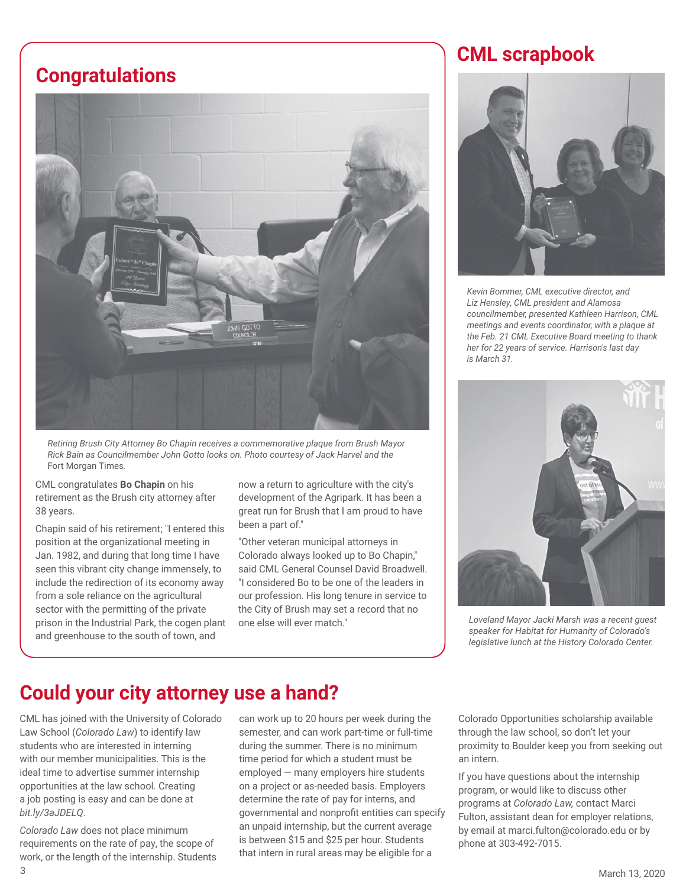## **Congratulations**



*Retiring Brush City Attorney Bo Chapin receives a commemorative plaque from Brush Mayor Rick Bain as Councilmember John Gotto looks on. Photo courtesy of Jack Harvel and the*  Fort Morgan Times*.*

CML congratulates **Bo Chapin** on his retirement as the Brush city attorney after 38 years.

Chapin said of his retirement; "I entered this position at the organizational meeting in Jan. 1982, and during that long time I have seen this vibrant city change immensely, to include the redirection of its economy away from a sole reliance on the agricultural sector with the permitting of the private prison in the Industrial Park, the cogen plant and greenhouse to the south of town, and

now a return to agriculture with the city's development of the Agripark. It has been a great run for Brush that I am proud to have been a part of."

"Other veteran municipal attorneys in Colorado always looked up to Bo Chapin," said CML General Counsel David Broadwell. "I considered Bo to be one of the leaders in our profession. His long tenure in service to the City of Brush may set a record that no one else will ever match."

## **CML scrapbook**



*Kevin Bommer, CML executive director, and Liz Hensley, CML president and Alamosa councilmember, presented Kathleen Harrison, CML meetings and events coordinator, with a plaque at the Feb. 21 CML Executive Board meeting to thank her for 22 years of service. Harrison's last day is March 31.*



*Loveland Mayor Jacki Marsh was a recent guest speaker for Habitat for Humanity of Colorado's legislative lunch at the History Colorado Center.* 

## **Could your city attorney use a hand?**

CML has joined with the University of Colorado Law School (*Colorado Law*) to identify law students who are interested in interning with our member municipalities. This is the ideal time to advertise summer internship opportunities at the law school. Creating a job posting is easy and can be done at *bit.ly/3aJDELQ*.

March 13, 2020 3 *Colorado Law* does not place minimum requirements on the rate of pay, the scope of work, or the length of the internship. Students

can work up to 20 hours per week during the semester, and can work part-time or full-time during the summer. There is no minimum time period for which a student must be employed — many employers hire students on a project or as-needed basis. Employers determine the rate of pay for interns, and governmental and nonprofit entities can specify an unpaid internship, but the current average is between \$15 and \$25 per hour. Students that intern in rural areas may be eligible for a

Colorado Opportunities scholarship available through the law school, so don't let your proximity to Boulder keep you from seeking out an intern.

If you have questions about the internship program, or would like to discuss other programs at *Colorado Law,* contact Marci Fulton, assistant dean for employer relations, by email at marci.fulton@colorado.edu or by phone at 303-492-7015.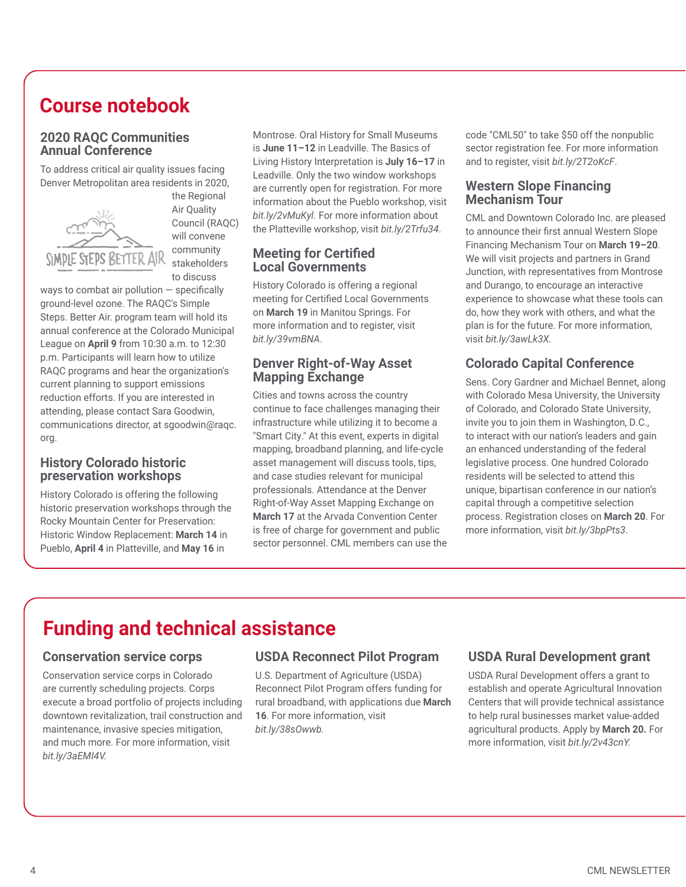## **Course notebook**

#### **2020 RAQC Communities Annual Conference**

To address critical air quality issues facing Denver Metropolitan area residents in 2020,



the Regional Air Quality Council (RAQC) will convene community stakeholders to discuss

ways to combat air pollution  $-$  specifically ground-level ozone. The RAQC's Simple Steps. Better Air. program team will hold its annual conference at the Colorado Municipal League on **April 9** from 10:30 a.m. to 12:30 p.m. Participants will learn how to utilize RAQC programs and hear the organization's current planning to support emissions reduction efforts. If you are interested in attending, please contact Sara Goodwin, communications director, at sgoodwin@raqc. org.

#### **History Colorado historic preservation workshops**

History Colorado is offering the following historic preservation workshops through the Rocky Mountain Center for Preservation: Historic Window Replacement: **March 14** in Pueblo, **April 4** in Platteville, and **May 16** in

Montrose. Oral History for Small Museums is **June 11–12** in Leadville. The Basics of Living History Interpretation is **July 16–17** in Leadville. Only the two window workshops are currently open for registration. For more information about the Pueblo workshop, visit *bit.ly/2vMuKyl.* For more information about the Platteville workshop, visit *bit.ly/2Trfu34*.

#### **Meeting for Certified Local Governments**

History Colorado is offering a regional meeting for Certified Local Governments on **March 19** in Manitou Springs. For more information and to register, visit *bit.ly/39vmBNA*.

#### **Denver Right-of-Way Asset Mapping Exchange**

Cities and towns across the country continue to face challenges managing their infrastructure while utilizing it to become a "Smart City." At this event, experts in digital mapping, broadband planning, and life-cycle asset management will discuss tools, tips, and case studies relevant for municipal professionals. Attendance at the Denver Right-of-Way Asset Mapping Exchange on **March 17** at the Arvada Convention Center is free of charge for government and public sector personnel. CML members can use the code "CML50" to take \$50 off the nonpublic sector registration fee. For more information and to register, visit *bit.ly/2T2oKcF*.

#### **Western Slope Financing Mechanism Tour**

CML and Downtown Colorado Inc. are pleased to announce their first annual Western Slope Financing Mechanism Tour on **March 19–20**. We will visit projects and partners in Grand Junction, with representatives from Montrose and Durango, to encourage an interactive experience to showcase what these tools can do, how they work with others, and what the plan is for the future. For more information, visit *bit.ly/3awLk3X.* 

### **Colorado Capital Conference**

Sens. Cory Gardner and Michael Bennet, along with Colorado Mesa University, the University of Colorado, and Colorado State University, invite you to join them in Washington, D.C., to interact with our nation's leaders and gain an enhanced understanding of the federal legislative process. One hundred Colorado residents will be selected to attend this unique, bipartisan conference in our nation's capital through a competitive selection process. Registration closes on **March 20**. For more information, visit *bit.ly/3bpPts3*.

# **Funding and technical assistance**

#### **Conservation service corps**

Conservation service corps in Colorado are currently scheduling projects. Corps execute a broad portfolio of projects including downtown revitalization, trail construction and maintenance, invasive species mitigation, and much more. For more information, visit *bit.ly/3aEMI4V.*

#### **USDA Reconnect Pilot Program**

U.S. Department of Agriculture (USDA) Reconnect Pilot Program offers funding for rural broadband, with applications due **March 16**. For more information, visit *bit.ly/38sOwwb.*

#### **USDA Rural Development grant**

USDA Rural Development offers a grant to establish and operate Agricultural Innovation Centers that will provide technical assistance to help rural businesses market value-added agricultural products. Apply by **March 20.** For more information, visit *bit.ly/2v43cnY.*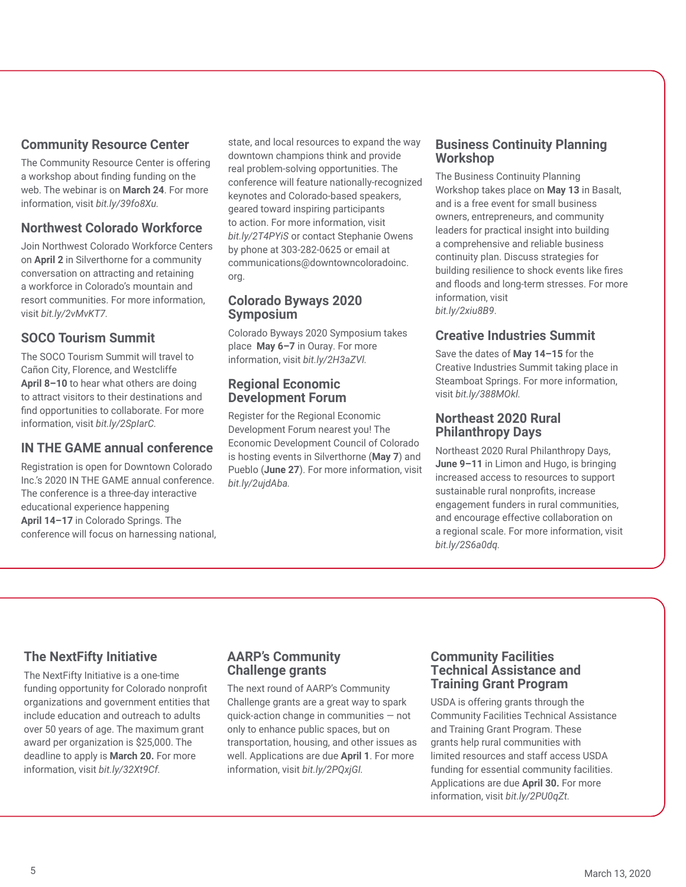#### **Community Resource Center**

The Community Resource Center is offering a workshop about finding funding on the web. The webinar is on **March 24**. For more information, visit *bit.ly/39fo8Xu.*

#### **Northwest Colorado Workforce**

Join Northwest Colorado Workforce Centers on **April 2** in Silverthorne for a community conversation on attracting and retaining a workforce in Colorado's mountain and resort communities. For more information, visit *bit.ly/2vMvKT7.* 

#### **SOCO Tourism Summit**

The SOCO Tourism Summit will travel to Cañon City, Florence, and Westcliffe **April 8–10** to hear what others are doing to attract visitors to their destinations and find opportunities to collaborate. For more information, visit *bit.ly/2SpIarC.*

#### **IN THE GAME annual conference**

Registration is open for Downtown Colorado Inc.'s 2020 IN THE GAME annual conference. The conference is a three-day interactive educational experience happening **April 14–17** in Colorado Springs. The conference will focus on harnessing national, state, and local resources to expand the way downtown champions think and provide real problem-solving opportunities. The conference will feature nationally-recognized keynotes and Colorado-based speakers, geared toward inspiring participants to action. For more information, visit *bit.ly/2T4PYiS* or contact Stephanie Owens by phone at 303-282-0625 or email at communications@downtowncoloradoinc. org.

#### **Colorado Byways 2020 Symposium**

Colorado Byways 2020 Symposium takes place **May 6–7** in Ouray. For more information, visit *bit.ly/2H3aZVl.* 

#### **Regional Economic Development Forum**

Register for the Regional Economic Development Forum nearest you! The Economic Development Council of Colorado is hosting events in Silverthorne (**May 7**) and Pueblo (**June 27**). For more information, visit *bit.ly/2ujdAba.* 

#### **Business Continuity Planning Workshop**

The Business Continuity Planning Workshop takes place on **May 13** in Basalt, and is a free event for small business owners, entrepreneurs, and community leaders for practical insight into building a comprehensive and reliable business continuity plan. Discuss strategies for building resilience to shock events like fires and floods and long-term stresses. For more information, visit *bit.ly/2xiu8B9*.

#### **Creative Industries Summit**

Save the dates of **May 14–15** for the Creative Industries Summit taking place in Steamboat Springs. For more information, visit *bit.ly/388MOkl.*

#### **Northeast 2020 Rural Philanthropy Days**

Northeast 2020 Rural Philanthropy Days, **June 9–11** in Limon and Hugo, is bringing increased access to resources to support sustainable rural nonprofits, increase engagement funders in rural communities, and encourage effective collaboration on a regional scale. For more information, visit *bit.ly/2S6a0dq.*

#### **The NextFifty Initiative**

The NextFifty Initiative is a one-time funding opportunity for Colorado nonprofit organizations and government entities that include education and outreach to adults over 50 years of age. The maximum grant award per organization is \$25,000. The deadline to apply is **March 20.** For more information, visit *bit.ly/32Xt9Cf.* 

#### **AARP's Community Challenge grants**

The next round of AARP's Community Challenge grants are a great way to spark quick-action change in communities — not only to enhance public spaces, but on transportation, housing, and other issues as well. Applications are due **April 1**. For more information, visit *bit.ly/2PQxjGI.*

#### **Community Facilities Technical Assistance and Training Grant Program**

USDA is offering grants through the Community Facilities Technical Assistance and Training Grant Program. These grants help rural communities with limited resources and staff access USDA funding for essential community facilities. Applications are due **April 30.** For more information, visit *bit.ly/2PU0qZt.*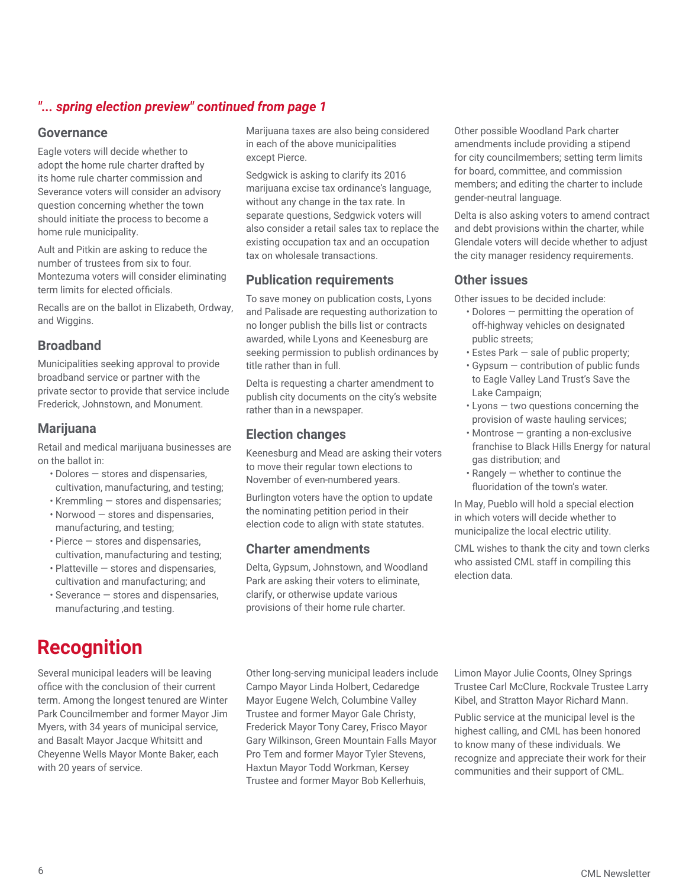## *"... spring election preview" continued from page 1*

#### **Governance**

Eagle voters will decide whether to adopt the home rule charter drafted by its home rule charter commission and Severance voters will consider an advisory question concerning whether the town should initiate the process to become a home rule municipality.

Ault and Pitkin are asking to reduce the number of trustees from six to four. Montezuma voters will consider eliminating term limits for elected officials.

Recalls are on the ballot in Elizabeth, Ordway, and Wiggins.

#### **Broadband**

Municipalities seeking approval to provide broadband service or partner with the private sector to provide that service include Frederick, Johnstown, and Monument.

#### **Marijuana**

Retail and medical marijuana businesses are on the ballot in:

- Dolores stores and dispensaries, cultivation, manufacturing, and testing;
- Kremmling stores and dispensaries;
- Norwood stores and dispensaries, manufacturing, and testing;
- Pierce stores and dispensaries, cultivation, manufacturing and testing;
- Platteville stores and dispensaries, cultivation and manufacturing; and
- Severance stores and dispensaries, manufacturing ,and testing.

## **Recognition**

Several municipal leaders will be leaving office with the conclusion of their current term. Among the longest tenured are Winter Park Councilmember and former Mayor Jim Myers, with 34 years of municipal service, and Basalt Mayor Jacque Whitsitt and Cheyenne Wells Mayor Monte Baker, each with 20 years of service.

Marijuana taxes are also being considered in each of the above municipalities except Pierce.

Sedgwick is asking to clarify its 2016 marijuana excise tax ordinance's language, without any change in the tax rate. In separate questions, Sedgwick voters will also consider a retail sales tax to replace the existing occupation tax and an occupation tax on wholesale transactions.

#### **Publication requirements**

To save money on publication costs, Lyons and Palisade are requesting authorization to no longer publish the bills list or contracts awarded, while Lyons and Keenesburg are seeking permission to publish ordinances by title rather than in full.

Delta is requesting a charter amendment to publish city documents on the city's website rather than in a newspaper.

#### **Election changes**

Keenesburg and Mead are asking their voters to move their regular town elections to November of even-numbered years.

Burlington voters have the option to update the nominating petition period in their election code to align with state statutes.

#### **Charter amendments**

Delta, Gypsum, Johnstown, and Woodland Park are asking their voters to eliminate, clarify, or otherwise update various provisions of their home rule charter.

Other long-serving municipal leaders include Campo Mayor Linda Holbert, Cedaredge Mayor Eugene Welch, Columbine Valley Trustee and former Mayor Gale Christy, Frederick Mayor Tony Carey, Frisco Mayor Gary Wilkinson, Green Mountain Falls Mayor Pro Tem and former Mayor Tyler Stevens, Haxtun Mayor Todd Workman, Kersey Trustee and former Mayor Bob Kellerhuis,

Other possible Woodland Park charter amendments include providing a stipend for city councilmembers; setting term limits for board, committee, and commission members; and editing the charter to include gender-neutral language.

Delta is also asking voters to amend contract and debt provisions within the charter, while Glendale voters will decide whether to adjust the city manager residency requirements.

#### **Other issues**

Other issues to be decided include:

- Dolores permitting the operation of off-highway vehicles on designated public streets;
- Estes Park sale of public property;
- Gypsum contribution of public funds to Eagle Valley Land Trust's Save the Lake Campaign;
- Lyons two questions concerning the provision of waste hauling services;
- Montrose granting a non-exclusive franchise to Black Hills Energy for natural gas distribution; and
- Rangely whether to continue the fluoridation of the town's water.

In May, Pueblo will hold a special election in which voters will decide whether to municipalize the local electric utility.

CML wishes to thank the city and town clerks who assisted CML staff in compiling this election data.

Limon Mayor Julie Coonts, Olney Springs Trustee Carl McClure, Rockvale Trustee Larry Kibel, and Stratton Mayor Richard Mann.

Public service at the municipal level is the highest calling, and CML has been honored to know many of these individuals. We recognize and appreciate their work for their communities and their support of CML.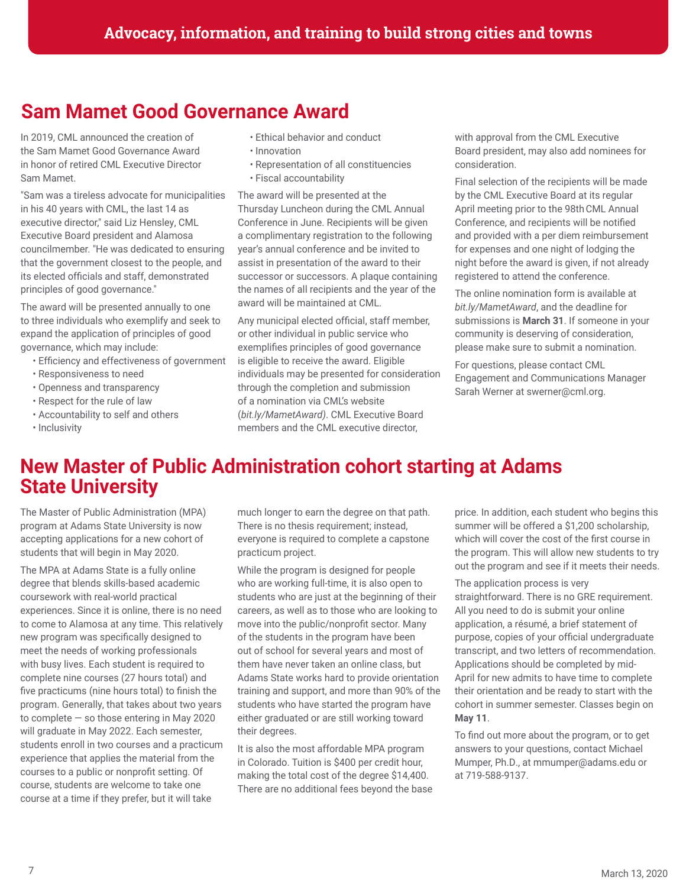## **Sam Mamet Good Governance Award**

In 2019, CML announced the creation of the Sam Mamet Good Governance Award in honor of retired CML Executive Director Sam Mamet.

"Sam was a tireless advocate for municipalities in his 40 years with CML, the last 14 as executive director," said Liz Hensley, CML Executive Board president and Alamosa councilmember. "He was dedicated to ensuring that the government closest to the people, and its elected officials and staff, demonstrated principles of good governance."

The award will be presented annually to one to three individuals who exemplify and seek to expand the application of principles of good governance, which may include:

- Efficiency and effectiveness of government
- Responsiveness to need
- Openness and transparency
- Respect for the rule of law
- Accountability to self and others
- Inclusivity
- Ethical behavior and conduct
- Innovation
- Representation of all constituencies
- Fiscal accountability

The award will be presented at the Thursday Luncheon during the CML Annual Conference in June. Recipients will be given a complimentary registration to the following year's annual conference and be invited to assist in presentation of the award to their successor or successors. A plaque containing the names of all recipients and the year of the award will be maintained at CML.

Any municipal elected official, staff member, or other individual in public service who exemplifies principles of good governance is eligible to receive the award. Eligible individuals may be presented for consideration through the completion and submission of a nomination via CML's website (*bit.ly/MametAward)*. CML Executive Board members and the CML executive director,

with approval from the CML Executive Board president, may also add nominees for consideration.

Final selection of the recipients will be made by the CML Executive Board at its regular April meeting prior to the 98thCML Annual Conference, and recipients will be notified and provided with a per diem reimbursement for expenses and one night of lodging the night before the award is given, if not already registered to attend the conference.

The online nomination form is available at *bit.ly/MametAward*, and the deadline for submissions is **March 31**. If someone in your community is deserving of consideration, please make sure to submit a nomination.

For questions, please contact CML Engagement and Communications Manager Sarah Werner at swerner@cml.org.

## **New Master of Public Administration cohort starting at Adams State University**

The Master of Public Administration (MPA) program at Adams State University is now accepting applications for a new cohort of students that will begin in May 2020.

The MPA at Adams State is a fully online degree that blends skills-based academic coursework with real-world practical experiences. Since it is online, there is no need to come to Alamosa at any time. This relatively new program was specifically designed to meet the needs of working professionals with busy lives. Each student is required to complete nine courses (27 hours total) and five practicums (nine hours total) to finish the program. Generally, that takes about two years to complete  $-$  so those entering in May 2020 will graduate in May 2022. Each semester, students enroll in two courses and a practicum experience that applies the material from the courses to a public or nonprofit setting. Of course, students are welcome to take one course at a time if they prefer, but it will take

much longer to earn the degree on that path. There is no thesis requirement; instead, everyone is required to complete a capstone practicum project.

While the program is designed for people who are working full-time, it is also open to students who are just at the beginning of their careers, as well as to those who are looking to move into the public/nonprofit sector. Many of the students in the program have been out of school for several years and most of them have never taken an online class, but Adams State works hard to provide orientation training and support, and more than 90% of the students who have started the program have either graduated or are still working toward their degrees.

It is also the most affordable MPA program in Colorado. Tuition is \$400 per credit hour, making the total cost of the degree \$14,400. There are no additional fees beyond the base price. In addition, each student who begins this summer will be offered a \$1,200 scholarship, which will cover the cost of the first course in the program. This will allow new students to try out the program and see if it meets their needs.

The application process is very straightforward. There is no GRE requirement. All you need to do is submit your online application, a résumé, a brief statement of purpose, copies of your official undergraduate transcript, and two letters of recommendation. Applications should be completed by mid-April for new admits to have time to complete their orientation and be ready to start with the cohort in summer semester. Classes begin on **May 11**.

To find out more about the program, or to get answers to your questions, contact Michael Mumper, Ph.D., at mmumper@adams.edu or at 719-588-9137.